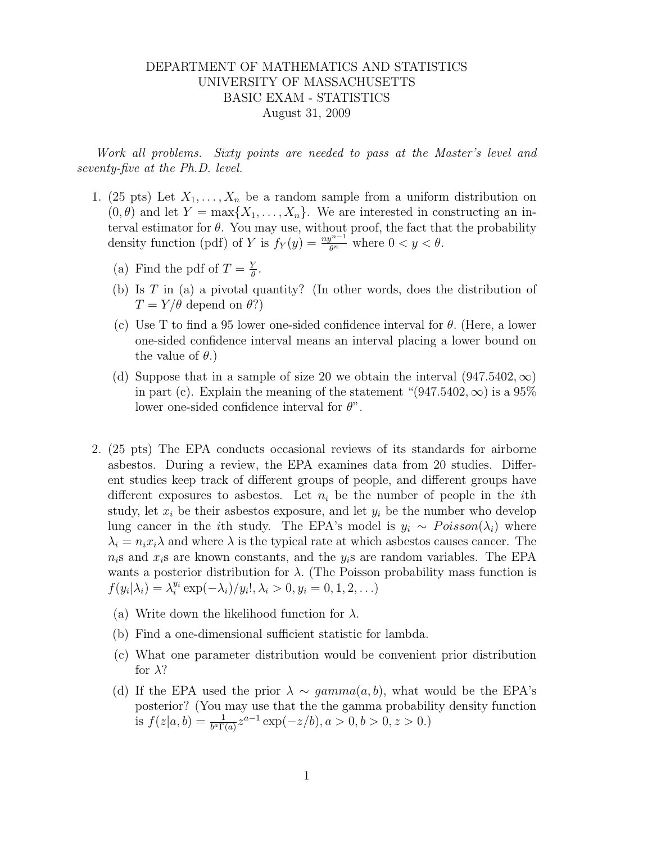## DEPARTMENT OF MATHEMATICS AND STATISTICS UNIVERSITY OF MASSACHUSETTS BASIC EXAM - STATISTICS August 31, 2009

Work all problems. Sixty points are needed to pass at the Master's level and seventy-five at the Ph.D. level.

- 1. (25 pts) Let  $X_1, \ldots, X_n$  be a random sample from a uniform distribution on  $(0, \theta)$  and let  $Y = \max\{X_1, \ldots, X_n\}$ . We are interested in constructing an interval estimator for  $\theta$ . You may use, without proof, the fact that the probability density function (pdf) of Y is  $f_Y(y) = \frac{ny^{n-1}}{\theta^n}$  where  $0 < y < \theta$ .
	- (a) Find the pdf of  $T = \frac{Y}{A}$  $\frac{Y}{\theta}$ .
	- (b) Is T in (a) a pivotal quantity? (In other words, does the distribution of  $T = Y/\theta$  depend on  $\theta$ ?)
	- (c) Use T to find a 95 lower one-sided confidence interval for  $\theta$ . (Here, a lower one-sided confidence interval means an interval placing a lower bound on the value of  $\theta$ .)
	- (d) Suppose that in a sample of size 20 we obtain the interval  $(947.5402,\infty)$ in part (c). Explain the meaning of the statement " $(947.5402,\infty)$  is a 95% lower one-sided confidence interval for  $\theta$ ".
- 2. (25 pts) The EPA conducts occasional reviews of its standards for airborne asbestos. During a review, the EPA examines data from 20 studies. Different studies keep track of different groups of people, and different groups have different exposures to asbestos. Let  $n_i$  be the number of people in the *i*th study, let  $x_i$  be their asbestos exposure, and let  $y_i$  be the number who develop lung cancer in the *i*th study. The EPA's model is  $y_i \sim Poisson(\lambda_i)$  where  $\lambda_i = n_i x_i \lambda$  and where  $\lambda$  is the typical rate at which asbestos causes cancer. The  $n_i$ s and  $x_i$ s are known constants, and the  $y_i$ s are random variables. The EPA wants a posterior distribution for  $\lambda$ . (The Poisson probability mass function is  $f(y_i|\lambda_i) = \lambda_i^{y_i} \exp(-\lambda_i) / y_i!$ ,  $\lambda_i > 0, y_i = 0, 1, 2, ...$ 
	- (a) Write down the likelihood function for  $\lambda$ .
	- (b) Find a one-dimensional sufficient statistic for lambda.
	- (c) What one parameter distribution would be convenient prior distribution for  $\lambda$ ?
	- (d) If the EPA used the prior  $\lambda \sim gamma(a, b)$ , what would be the EPA's posterior? (You may use that the the gamma probability density function is  $f(z|a, b) = \frac{1}{b^a \Gamma(a)} z^{a-1} \exp(-z/b), a > 0, b > 0, z > 0.$